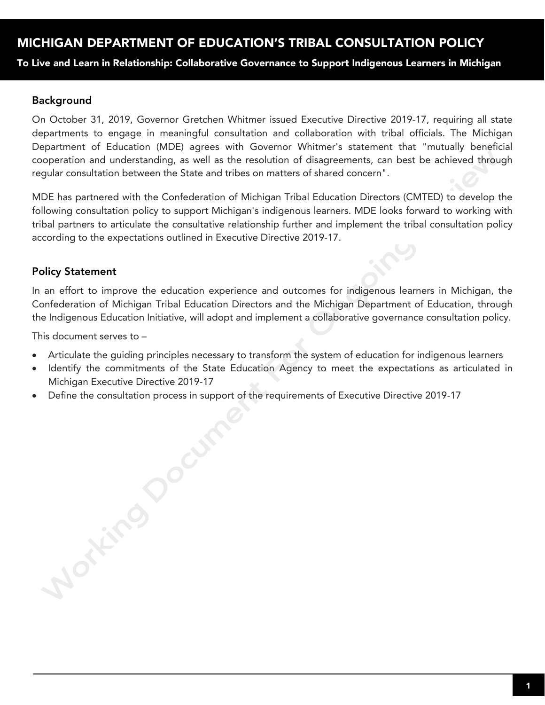To Live and Learn in Relationship: Collaborative Governance to Support Indigenous Learners in Michigan

### Background

On October 31, 2019, Governor Gretchen Whitmer issued Executive Directive 2019-17, requiring all state departments to engage in meaningful consultation and collaboration with tribal officials. The Michigan Department of Education (MDE) agrees with Governor Whitmer's statement that "mutually beneficial cooperation and understanding, as well as the resolution of disagreements, can best be achieved through regular consultation between the State and tribes on matters of shared concern".

MDE has partnered with the Confederation of Michigan Tribal Education Directors (CMTED) to develop the following consultation policy to support Michigan's indigenous learners. MDE looks forward to working with tribal partners to articulate the consultative relationship further and implement the tribal consultation policy according to the expectations outlined in Executive Directive 2019-17.

### Policy Statement

In an effort to improve the education experience and outcomes for indigenous learners in Michigan, the Confederation of Michigan Tribal Education Directors and the Michigan Department of Education, through the Indigenous Education Initiative, will adopt and implement a collaborative governance consultation policy.

This document serves to –

Morking Jocume

- Articulate the guiding principles necessary to transform the system of education for indigenous learners
- Identify the commitments of the State Education Agency to meet the expectations as articulated in Michigan Executive Directive 2019-17
- Define the consultation process in support of the requirements of Executive Directive 2019-17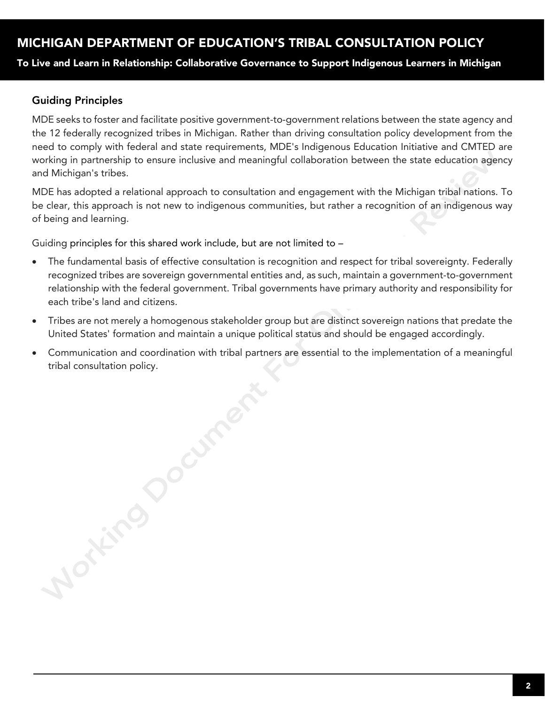To Live and Learn in Relationship: Collaborative Governance to Support Indigenous Learners in Michigan

### Guiding Principles

MDE seeks to foster and facilitate positive government-to-government relations between the state agency and the 12 federally recognized tribes in Michigan. Rather than driving consultation policy development from the need to comply with federal and state requirements, MDE's Indigenous Education Initiative and CMTED are working in partnership to ensure inclusive and meaningful collaboration between the state education agency and Michigan's tribes.

MDE has adopted a relational approach to consultation and engagement with the Michigan tribal nations. To be clear, this approach is not new to indigenous communities, but rather a recognition of an indigenous way of being and learning.

Guiding principles for this shared work include, but are not limited to –

- The fundamental basis of effective consultation is recognition and respect for tribal sovereignty. Federally recognized tribes are sovereign governmental entities and, as such, maintain a government-to-government relationship with the federal government. Tribal governments have primary authority and responsibility for each tribe's land and citizens.
- Tribes are not merely a homogenous stakeholder group but are distinct sovereign nations that predate the United States' formation and maintain a unique political status and should be engaged accordingly.
- Communication and coordination with tribal partners are essential to the implementation of a meaningful

tribal consultation policy.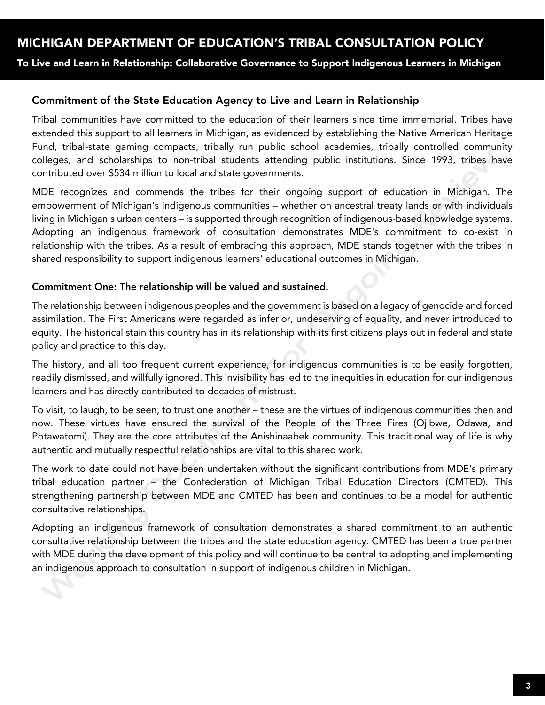To Live and Learn in Relationship: Collaborative Governance to Support Indigenous Learners in Michigan

### Commitment of the State Education Agency to Live and Learn in Relationship

Tribal communities have committed to the education of their learners since time immemorial. Tribes have extended this support to all learners in Michigan, as evidenced by establishing the Native American Heritage Fund, tribal-state gaming compacts, tribally run public school academies, tribally controlled community colleges, and scholarships to non-tribal students attending public institutions. Since 1993, tribes have contributed over \$534 million to local and state governments.

MDE recognizes and commends the tribes for their ongoing support of education in Michigan. The empowerment of Michigan's indigenous communities – whether on ancestral treaty lands or with individuals living in Michigan's urban centers – is supported through recognition of indigenous-based knowledge systems. Adopting an indigenous framework of consultation demonstrates MDE's commitment to co-exist in relationship with the tribes. As a result of embracing this approach, MDE stands together with the tribes in shared responsibility to support indigenous learners' educational outcomes in Michigan.

#### Commitment One: The relationship will be valued and sustained.

The relationship between indigenous peoples and the government is based on a legacy of genocide and forced assimilation. The First Americans were regarded as inferior, undeserving of equality, and never introduced to equity. The historical stain this country has in its relationship with its first citizens plays out in federal and state policy and practice to this day.

The history, and all too frequent current experience, for indigenous communities is to be easily forgotten, readily dismissed, and willfully ignored. This invisibility has led to the inequities in education for our indigenous learners and has directly contributed to decades of mistrust.

To visit, to laugh, to be seen, to trust one another – these are the virtues of indigenous communities then and now. These virtues have ensured the survival of the People of the Three Fires (Ojibwe, Odawa, and Potawatomi). They are the core attributes of the Anishinaabek community. This traditional way of life is why authentic and mutually respectful relationships are vital to this shared work.

The work to date could not have been undertaken without the significant contributions from MDE's primary tribal education partner – the Confederation of Michigan Tribal Education Directors (CMTED). This strengthening partnership between MDE and CMTED has been and continues to be a model for authentic consultative relationships.

Adopting an indigenous framework of consultation demonstrates a shared commitment to an authentic consultative relationship between the tribes and the state education agency. CMTED has been a true partner with MDE during the development of this policy and will continue to be central to adopting and implementing an indigenous approach to consultation in support of indigenous children in Michigan.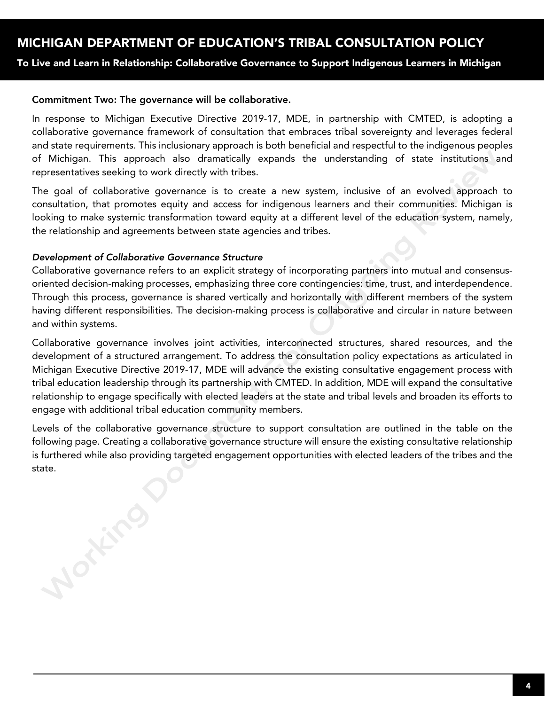To Live and Learn in Relationship: Collaborative Governance to Support Indigenous Learners in Michigan

#### Commitment Two: The governance will be collaborative.

In response to Michigan Executive Directive 2019-17, MDE, in partnership with CMTED, is adopting a collaborative governance framework of consultation that embraces tribal sovereignty and leverages federal and state requirements. This inclusionary approach is both beneficial and respectful to the indigenous peoples of Michigan. This approach also dramatically expands the understanding of state institutions and representatives seeking to work directly with tribes.

The goal of collaborative governance is to create a new system, inclusive of an evolved approach to consultation, that promotes equity and access for indigenous learners and their communities. Michigan is looking to make systemic transformation toward equity at a different level of the education system, namely, the relationship and agreements between state agencies and tribes.

#### *Development of Collaborative Governance Structure*

**Montingo** 

Collaborative governance refers to an explicit strategy of incorporating partners into mutual and consensusoriented decision-making processes, emphasizing three core contingencies: time, trust, and interdependence. Through this process, governance is shared vertically and horizontally with different members of the system having different responsibilities. The decision-making process is collaborative and circular in nature between and within systems.

Collaborative governance involves joint activities, interconnected structures, shared resources, and the development of a structured arrangement. To address the consultation policy expectations as articulated in Michigan Executive Directive 2019-17, MDE will advance the existing consultative engagement process with tribal education leadership through its partnership with CMTED. In addition, MDE will expand the consultative relationship to engage specifically with elected leaders at the state and tribal levels and broaden its efforts to engage with additional tribal education community members.

Levels of the collaborative governance structure to support consultation are outlined in the table on the following page. Creating a collaborative governance structure will ensure the existing consultative relationship is furthered while also providing targeted engagement opportunities with elected leaders of the tribes and the state.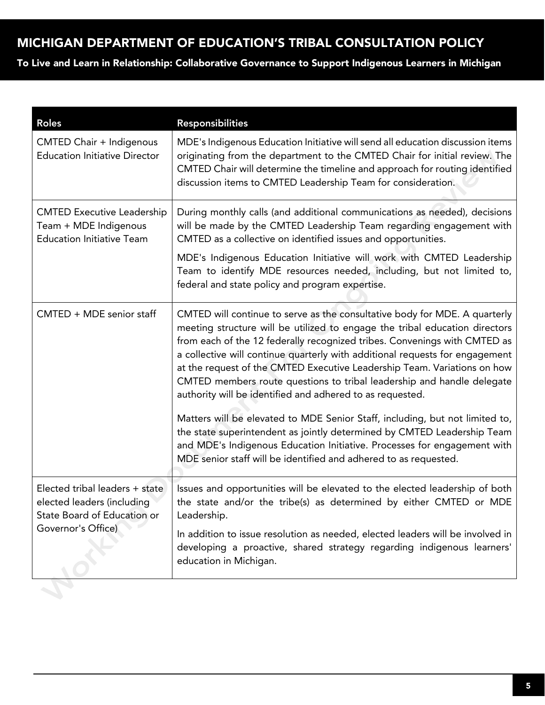To Live and Learn in Relationship: Collaborative Governance to Support Indigenous Learners in Michigan

| <b>Roles</b>                                                                                                      | Responsibilities                                                                                                                                                                                                                                                                                                                                                                                                                                                                                                                          |
|-------------------------------------------------------------------------------------------------------------------|-------------------------------------------------------------------------------------------------------------------------------------------------------------------------------------------------------------------------------------------------------------------------------------------------------------------------------------------------------------------------------------------------------------------------------------------------------------------------------------------------------------------------------------------|
| CMTED Chair + Indigenous<br><b>Education Initiative Director</b>                                                  | MDE's Indigenous Education Initiative will send all education discussion items<br>originating from the department to the CMTED Chair for initial review. The<br>CMTED Chair will determine the timeline and approach for routing identified<br>discussion items to CMTED Leadership Team for consideration.                                                                                                                                                                                                                               |
| <b>CMTED Executive Leadership</b><br>Team + MDE Indigenous<br><b>Education Initiative Team</b>                    | During monthly calls (and additional communications as needed), decisions<br>will be made by the CMTED Leadership Team regarding engagement with<br>CMTED as a collective on identified issues and opportunities.                                                                                                                                                                                                                                                                                                                         |
|                                                                                                                   | MDE's Indigenous Education Initiative will work with CMTED Leadership<br>Team to identify MDE resources needed, including, but not limited to,<br>federal and state policy and program expertise.                                                                                                                                                                                                                                                                                                                                         |
| CMTED + MDE senior staff                                                                                          | CMTED will continue to serve as the consultative body for MDE. A quarterly<br>meeting structure will be utilized to engage the tribal education directors<br>from each of the 12 federally recognized tribes. Convenings with CMTED as<br>a collective will continue quarterly with additional requests for engagement<br>at the request of the CMTED Executive Leadership Team. Variations on how<br>CMTED members route questions to tribal leadership and handle delegate<br>authority will be identified and adhered to as requested. |
|                                                                                                                   | Matters will be elevated to MDE Senior Staff, including, but not limited to,<br>the state superintendent as jointly determined by CMTED Leadership Team<br>and MDE's Indigenous Education Initiative. Processes for engagement with<br>MDE senior staff will be identified and adhered to as requested.                                                                                                                                                                                                                                   |
| Elected tribal leaders + state<br>elected leaders (including<br>State Board of Education or<br>Governor's Office) | Issues and opportunities will be elevated to the elected leadership of both<br>the state and/or the tribe(s) as determined by either CMTED or MDE<br>Leadership.                                                                                                                                                                                                                                                                                                                                                                          |
|                                                                                                                   | In addition to issue resolution as needed, elected leaders will be involved in<br>developing a proactive, shared strategy regarding indigenous learners'<br>education in Michigan.                                                                                                                                                                                                                                                                                                                                                        |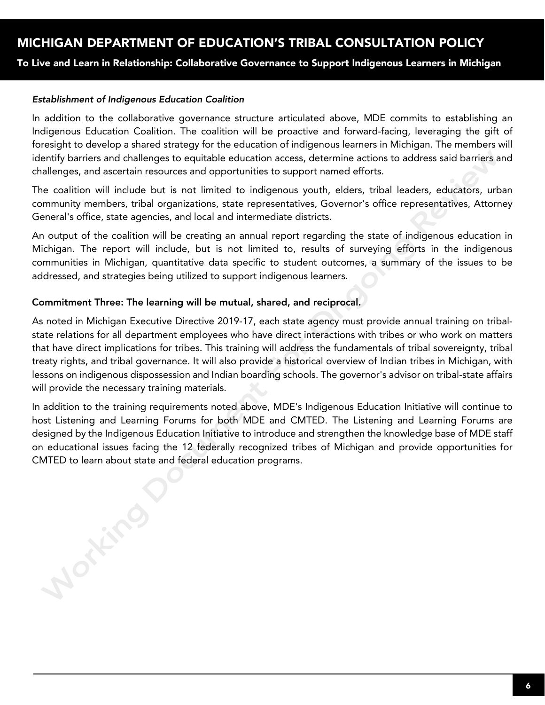To Live and Learn in Relationship: Collaborative Governance to Support Indigenous Learners in Michigan

#### *Establishment of Indigenous Education Coalition*

Mortino

In addition to the collaborative governance structure articulated above, MDE commits to establishing an Indigenous Education Coalition. The coalition will be proactive and forward-facing, leveraging the gift of foresight to develop a shared strategy for the education of indigenous learners in Michigan. The members will identify barriers and challenges to equitable education access, determine actions to address said barriers and challenges, and ascertain resources and opportunities to support named efforts.

The coalition will include but is not limited to indigenous youth, elders, tribal leaders, educators, urban community members, tribal organizations, state representatives, Governor's office representatives, Attorney General's office, state agencies, and local and intermediate districts.

An output of the coalition will be creating an annual report regarding the state of indigenous education in Michigan. The report will include, but is not limited to, results of surveying efforts in the indigenous communities in Michigan, quantitative data specific to student outcomes, a summary of the issues to be addressed, and strategies being utilized to support indigenous learners.

#### Commitment Three: The learning will be mutual, shared, and reciprocal.

As noted in Michigan Executive Directive 2019-17, each state agency must provide annual training on tribalstate relations for all department employees who have direct interactions with tribes or who work on matters that have direct implications for tribes. This training will address the fundamentals of tribal sovereignty, tribal treaty rights, and tribal governance. It will also provide a historical overview of Indian tribes in Michigan, with lessons on indigenous dispossession and Indian boarding schools. The governor's advisor on tribal-state affairs will provide the necessary training materials.

In addition to the training requirements noted above, MDE's Indigenous Education Initiative will continue to host Listening and Learning Forums for both MDE and CMTED. The Listening and Learning Forums are designed by the Indigenous Education Initiative to introduce and strengthen the knowledge base of MDE staff on educational issues facing the 12 federally recognized tribes of Michigan and provide opportunities for CMTED to learn about state and federal education programs.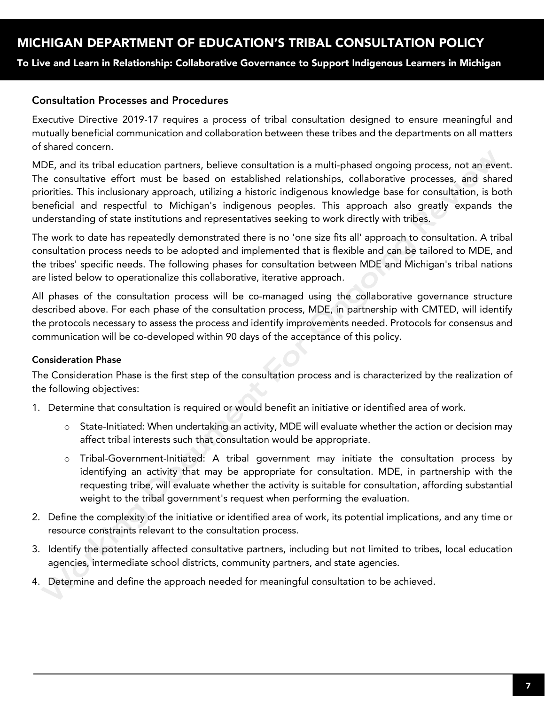To Live and Learn in Relationship: Collaborative Governance to Support Indigenous Learners in Michigan

### Consultation Processes and Procedures

Executive Directive 2019-17 requires a process of tribal consultation designed to ensure meaningful and mutually beneficial communication and collaboration between these tribes and the departments on all matters of shared concern.

MDE, and its tribal education partners, believe consultation is a multi-phased ongoing process, not an event. The consultative effort must be based on established relationships, collaborative processes, and shared priorities. This inclusionary approach, utilizing a historic indigenous knowledge base for consultation, is both beneficial and respectful to Michigan's indigenous peoples. This approach also greatly expands the understanding of state institutions and representatives seeking to work directly with tribes.

The work to date has repeatedly demonstrated there is no 'one size fits all' approach to consultation. A tribal consultation process needs to be adopted and implemented that is flexible and can be tailored to MDE, and the tribes' specific needs. The following phases for consultation between MDE and Michigan's tribal nations are listed below to operationalize this collaborative, iterative approach.

All phases of the consultation process will be co-managed using the collaborative governance structure described above. For each phase of the consultation process, MDE, in partnership with CMTED, will identify the protocols necessary to assess the process and identify improvements needed. Protocols for consensus and communication will be co-developed within 90 days of the acceptance of this policy.

#### Consideration Phase

The Consideration Phase is the first step of the consultation process and is characterized by the realization of the following objectives:

- 1. Determine that consultation is required or would benefit an initiative or identified area of work.
	- $\circ$  State-Initiated: When undertaking an activity, MDE will evaluate whether the action or decision may affect tribal interests such that consultation would be appropriate.
	- o Tribal-Government-Initiated: A tribal government may initiate the consultation process by identifying an activity that may be appropriate for consultation. MDE, in partnership with the requesting tribe, will evaluate whether the activity is suitable for consultation, affording substantial weight to the tribal government's request when performing the evaluation.
- 2. Define the complexity of the initiative or identified area of work, its potential implications, and any time or resource constraints relevant to the consultation process.
- 3. Identify the potentially affected consultative partners, including but not limited to tribes, local education agencies, intermediate school districts, community partners, and state agencies.
- 4. Determine and define the approach needed for meaningful consultation to be achieved.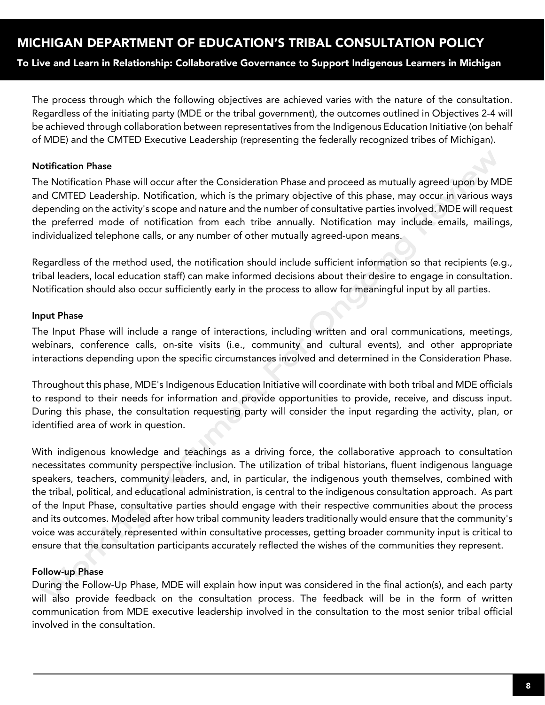To Live and Learn in Relationship: Collaborative Governance to Support Indigenous Learners in Michigan

The process through which the following objectives are achieved varies with the nature of the consultation. Regardless of the initiating party (MDE or the tribal government), the outcomes outlined in Objectives 2-4 will be achieved through collaboration between representatives from the Indigenous Education Initiative (on behalf of MDE) and the CMTED Executive Leadership (representing the federally recognized tribes of Michigan).

#### Notification Phase

The Notification Phase will occur after the Consideration Phase and proceed as mutually agreed upon by MDE and CMTED Leadership. Notification, which is the primary objective of this phase, may occur in various ways depending on the activity's scope and nature and the number of consultative parties involved. MDE will request the preferred mode of notification from each tribe annually. Notification may include emails, mailings, individualized telephone calls, or any number of other mutually agreed-upon means.

Regardless of the method used, the notification should include sufficient information so that recipients (e.g., tribal leaders, local education staff) can make informed decisions about their desire to engage in consultation. Notification should also occur sufficiently early in the process to allow for meaningful input by all parties.

#### Input Phase

The Input Phase will include a range of interactions, including written and oral communications, meetings, webinars, conference calls, on-site visits (i.e., community and cultural events), and other appropriate interactions depending upon the specific circumstances involved and determined in the Consideration Phase.

Throughout this phase, MDE's Indigenous Education Initiative will coordinate with both tribal and MDE officials to respond to their needs for information and provide opportunities to provide, receive, and discuss input. During this phase, the consultation requesting party will consider the input regarding the activity, plan, or identified area of work in question.

With indigenous knowledge and teachings as a driving force, the collaborative approach to consultation necessitates community perspective inclusion. The utilization of tribal historians, fluent indigenous language speakers, teachers, community leaders, and, in particular, the indigenous youth themselves, combined with the tribal, political, and educational administration, is central to the indigenous consultation approach. As part of the Input Phase, consultative parties should engage with their respective communities about the process and its outcomes. Modeled after how tribal community leaders traditionally would ensure that the community's voice was accurately represented within consultative processes, getting broader community input is critical to ensure that the consultation participants accurately reflected the wishes of the communities they represent.

### Follow-up Phase

During the Follow-Up Phase, MDE will explain how input was considered in the final action(s), and each party will also provide feedback on the consultation process. The feedback will be in the form of written communication from MDE executive leadership involved in the consultation to the most senior tribal official involved in the consultation.